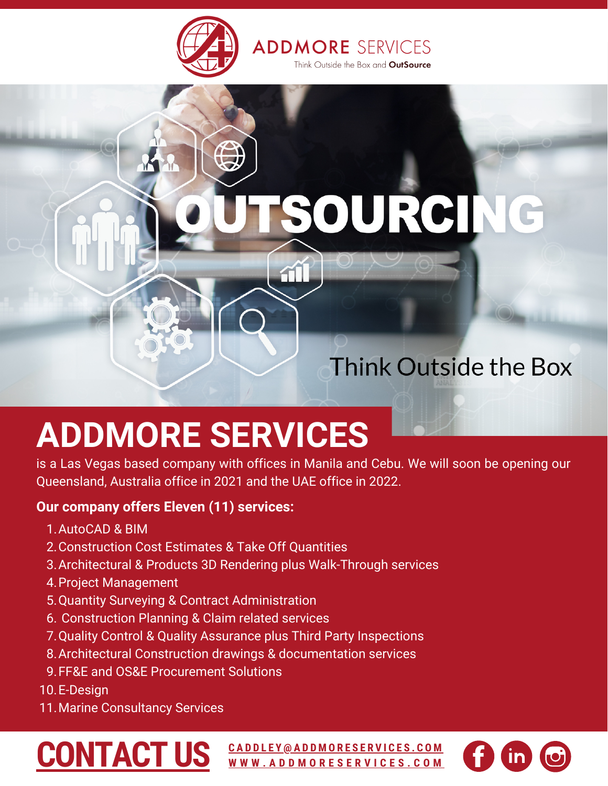

ÁŤ.

# SOURCING

### Think Outside the Box

# **ADDMORE SERVICES**

is a Las Vegas based company with offices in Manila and Cebu. We will soon be opening our Queensland, Australia office in 2021 and the UAE office in 2022.

#### **Our company offers Eleven (11) services:**

- 1. AutoCAD & BIM
- 2. Construction Cost Estimates & Take Off Quantities
- Architectural & Products 3D Rendering plus Walk-Through services 3.
- 4. Project Management
- 5. Quantity Surveying & Contract Administration
- 6. Construction Planning & Claim related services
- 7. Quality Control & Quality Assurance plus Third Party Inspections
- Architectural Construction drawings & documentation services 8.
- FF&E and OS&E Procurement Solutions 9.
- 10. E-Design
- 11. Marine Consultancy Services

## **[CONTACT](https://addmoreservices.com/contact-us/) US**

CADDLEY[@](mailto:caddley@addmoreservices.com)ADDMORESERVICES.COM **W W W . A D D [M](https://addmoreservices.com/) O R E S E R V I C E S . C O M**